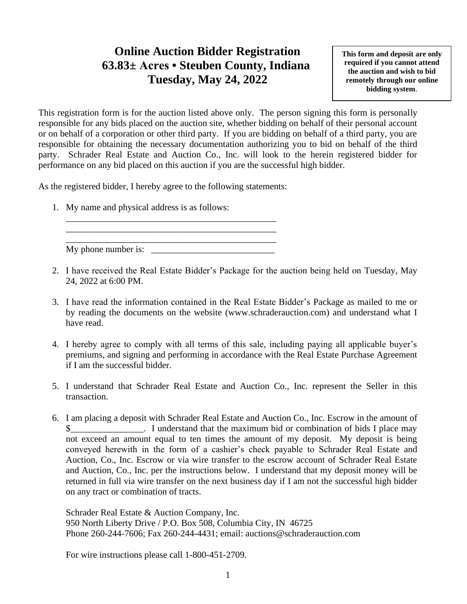## **Online Auction Bidder Registration 63.83± Acres • Steuben County, Indiana Tuesday, May 24, 2022**

**This form and deposit are only required if you cannot attend the auction and wish to bid remotely through our online bidding system**.

This registration form is for the auction listed above only. The person signing this form is personally responsible for any bids placed on the auction site, whether bidding on behalf of their personal account or on behalf of a corporation or other third party. If you are bidding on behalf of a third party, you are responsible for obtaining the necessary documentation authorizing you to bid on behalf of the third party. Schrader Real Estate and Auction Co., Inc. will look to the herein registered bidder for performance on any bid placed on this auction if you are the successful high bidder.

As the registered bidder, I hereby agree to the following statements:

1. My name and physical address is as follows:

\_\_\_\_\_\_\_\_\_\_\_\_\_\_\_\_\_\_\_\_\_\_\_\_\_\_\_\_\_\_\_\_\_\_\_\_\_\_\_\_\_\_\_\_\_\_ My phone number is:

\_\_\_\_\_\_\_\_\_\_\_\_\_\_\_\_\_\_\_\_\_\_\_\_\_\_\_\_\_\_\_\_\_\_\_\_\_\_\_\_\_\_\_\_\_\_ \_\_\_\_\_\_\_\_\_\_\_\_\_\_\_\_\_\_\_\_\_\_\_\_\_\_\_\_\_\_\_\_\_\_\_\_\_\_\_\_\_\_\_\_\_\_

- 2. I have received the Real Estate Bidder's Package for the auction being held on Tuesday, May 24, 2022 at 6:00 PM.
- 3. I have read the information contained in the Real Estate Bidder's Package as mailed to me or by reading the documents on the website (www.schraderauction.com) and understand what I have read.
- 4. I hereby agree to comply with all terms of this sale, including paying all applicable buyer's premiums, and signing and performing in accordance with the Real Estate Purchase Agreement if I am the successful bidder.
- 5. I understand that Schrader Real Estate and Auction Co., Inc. represent the Seller in this transaction.
- 6. I am placing a deposit with Schrader Real Estate and Auction Co., Inc. Escrow in the amount of I understand that the maximum bid or combination of bids I place may not exceed an amount equal to ten times the amount of my deposit. My deposit is being conveyed herewith in the form of a cashier's check payable to Schrader Real Estate and Auction, Co., Inc. Escrow or via wire transfer to the escrow account of Schrader Real Estate and Auction, Co., Inc. per the instructions below. I understand that my deposit money will be returned in full via wire transfer on the next business day if I am not the successful high bidder on any tract or combination of tracts.

Schrader Real Estate & Auction Company, Inc. 950 North Liberty Drive / P.O. Box 508, Columbia City, IN 46725 Phone 260-244-7606; Fax 260-244-4431; email: auctions@schraderauction.com

For wire instructions please call 1-800-451-2709.